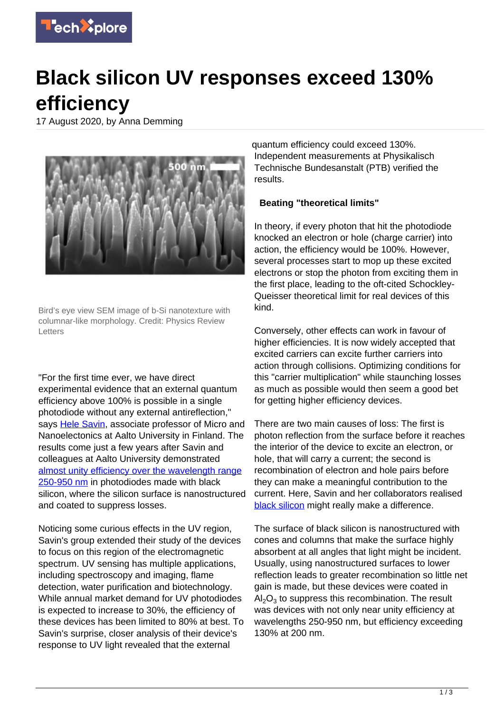

## **Black silicon UV responses exceed 130% efficiency**

17 August 2020, by Anna Demming



Bird's eye view SEM image of b-Si nanotexture with columnar-like morphology. Credit: Physics Review **Letters** 

"For the first time ever, we have direct experimental evidence that an external quantum efficiency above 100% is possible in a single photodiode without any external antireflection," says [Hele Savin](https://www.aalto.fi/en/people/hele-savin), associate professor of Micro and Nanoelectonics at Aalto University in Finland. The results come just a few years after Savin and colleagues at Aalto University demonstrated [almost unity efficiency over the wavelength range](https://www.nature.com/articles/nphoton.2016.226) [250-950 nm](https://www.nature.com/articles/nphoton.2016.226) in photodiodes made with black silicon, where the silicon surface is nanostructured and coated to suppress losses.

Noticing some curious effects in the UV region, Savin's group extended their study of the devices to focus on this region of the electromagnetic spectrum. UV sensing has multiple applications, including spectroscopy and imaging, flame detection, water purification and biotechnology. While annual market demand for UV photodiodes is expected to increase to 30%, the efficiency of these devices has been limited to 80% at best. To Savin's surprise, closer analysis of their device's response to UV light revealed that the external

quantum efficiency could exceed 130%. Independent measurements at Physikalisch Technische Bundesanstalt (PTB) verified the results.

## **Beating "theoretical limits"**

In theory, if every photon that hit the photodiode knocked an electron or hole (charge carrier) into action, the efficiency would be 100%. However, several processes start to mop up these excited electrons or stop the photon from exciting them in the first place, leading to the oft-cited Schockley-Queisser theoretical limit for real devices of this kind.

Conversely, other effects can work in favour of higher efficiencies. It is now widely accepted that excited carriers can excite further carriers into action through collisions. Optimizing conditions for this "carrier multiplication" while staunching losses as much as possible would then seem a good bet for getting higher efficiency devices.

There are two main causes of loss: The first is photon reflection from the surface before it reaches the interior of the device to excite an electron, or hole, that will carry a current; the second is recombination of electron and hole pairs before they can make a meaningful contribution to the current. Here, Savin and her collaborators realised [black silicon](https://techxplore.com/tags/black+silicon/) might really make a difference.

The surface of black silicon is nanostructured with cones and columns that make the surface highly absorbent at all angles that light might be incident. Usually, using nanostructured surfaces to lower reflection leads to greater recombination so little net gain is made, but these devices were coated in  $\text{Al}_2\text{O}_3$  to suppress this recombination. The result was devices with not only near unity efficiency at wavelengths 250-950 nm, but efficiency exceeding 130% at 200 nm.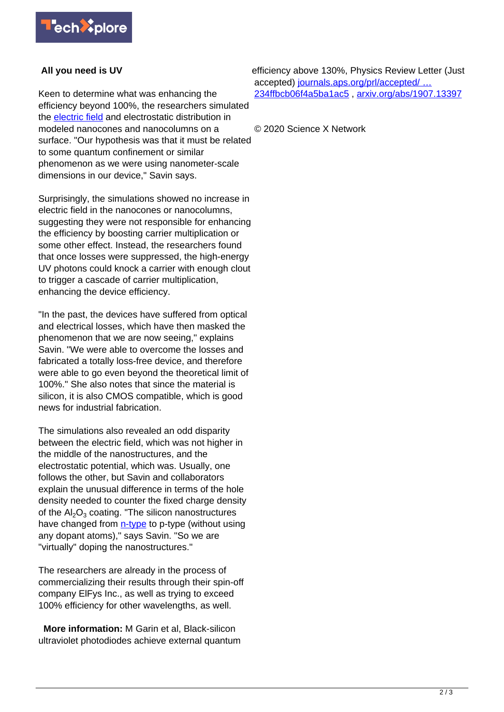

## **All you need is UV**

Keen to determine what was enhancing the efficiency beyond 100%, the researchers simulated the [electric field](https://techxplore.com/tags/electric+field/) and electrostatic distribution in modeled nanocones and nanocolumns on a surface. "Our hypothesis was that it must be related to some quantum confinement or similar phenomenon as we were using nanometer-scale dimensions in our device," Savin says.

Surprisingly, the simulations showed no increase in electric field in the nanocones or nanocolumns, suggesting they were not responsible for enhancing the efficiency by boosting carrier multiplication or some other effect. Instead, the researchers found that once losses were suppressed, the high-energy UV photons could knock a carrier with enough clout to trigger a cascade of carrier multiplication, enhancing the device efficiency.

"In the past, the devices have suffered from optical and electrical losses, which have then masked the phenomenon that we are now seeing," explains Savin. "We were able to overcome the losses and fabricated a totally loss-free device, and therefore were able to go even beyond the theoretical limit of 100%." She also notes that since the material is silicon, it is also CMOS compatible, which is good news for industrial fabrication.

The simulations also revealed an odd disparity between the electric field, which was not higher in the middle of the nanostructures, and the electrostatic potential, which was. Usually, one follows the other, but Savin and collaborators explain the unusual difference in terms of the hole density needed to counter the fixed charge density of the  $\mathsf{Al}_2\mathsf{O}_3$  coating. "The silicon nanostructures have changed from [n-type](https://techxplore.com/tags/n-type/) to p-type (without using any dopant atoms)," says Savin. "So we are "virtually" doping the nanostructures."

The researchers are already in the process of commercializing their results through their spin-off company ElFys Inc., as well as trying to exceed 100% efficiency for other wavelengths, as well.

 **More information:** M Garin et al, Black-silicon ultraviolet photodiodes achieve external quantum efficiency above 130%, Physics Review Letter (Just accepted) [journals.aps.org/prl/accepted/ …](https://journals.aps.org/prl/accepted/3b07dY27X9e1a57943f61234ffbcb06f4a5ba1ac5) [234ffbcb06f4a5ba1ac5](https://journals.aps.org/prl/accepted/3b07dY27X9e1a57943f61234ffbcb06f4a5ba1ac5) , [arxiv.org/abs/1907.13397](https://arxiv.org/abs/1907.13397)

© 2020 Science X Network